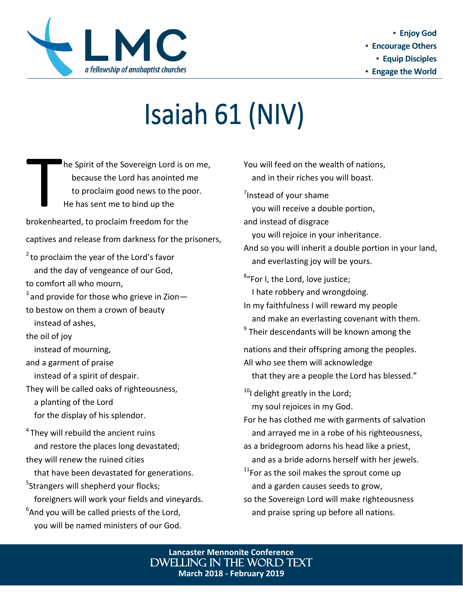

## Isaiah 61 (NIV)

The Spirit of the Sovereign Lord is only because the Lord has anointed no to proclaim good news to the position of the has sent me to bind up the brokenhearted, to proclaim freedom for the he Spirit of the Sovereign Lord is on me, because the Lord has anointed me to proclaim good news to the poor. He has sent me to bind up the

captives and release from darkness for the prisoners,

 $2$  to proclaim the year of the Lord's favor and the day of vengeance of our God, to comfort all who mourn,

 $3$  and provide for those who grieve in Zion $-$ 

to bestow on them a crown of beauty

instead of ashes,

the oil of joy

instead of mourning,

and a garment of praise

instead of a spirit of despair.

They will be called oaks of righteousness,

a planting of the Lord

for the display of his splendor.

<sup>4</sup> They will rebuild the ancient ruins and restore the places long devastated; they will renew the ruined cities

that have been devastated for generations.

<sup>5</sup>Strangers will shepherd your flocks; foreigners will work your fields and vineyards.

 $6$ And you will be called priests of the Lord, you will be named ministers of our God. You will feed on the wealth of nations, and in their riches you will boast.

<sup>7</sup> Instead of your shame

you will receive a double portion,

and instead of disgrace

you will rejoice in your inheritance.

And so you will inherit a double portion in your land, and everlasting joy will be yours.

<sup>8</sup>"For I, the Lord, love justice; I hate robbery and wrongdoing.

In my faithfulness I will reward my people and make an everlasting covenant with them.

<sup>9</sup> Their descendants will be known among the

nations and their offspring among the peoples.

All who see them will acknowledge

that they are a people the Lord has blessed."

 $10$ I delight greatly in the Lord; my soul rejoices in my God.

For he has clothed me with garments of salvation and arrayed me in a robe of his righteousness,

as a bridegroom adorns his head like a priest, and as a bride adorns herself with her jewels.

 $11$ For as the soil makes the sprout come up and a garden causes seeds to grow,

so the Sovereign Lord will make righteousness and praise spring up before all nations.

**Lancaster Mennonite Conference** Dwelling in the Word text **March 2018 - February 2019**